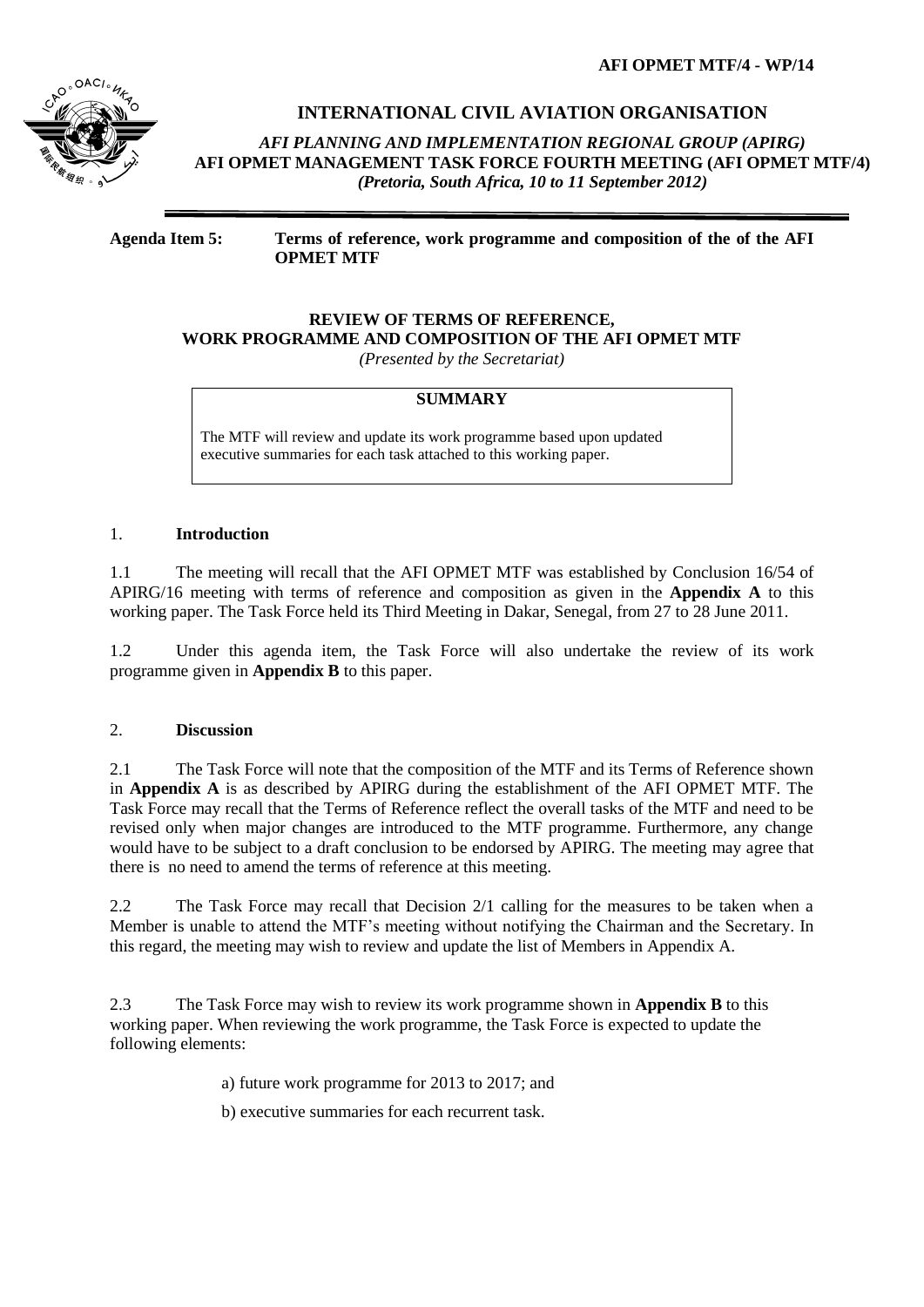**AFI OPMET MTF/4 - WP/14**



## **INTERNATIONAL CIVIL AVIATION ORGANISATION**

*AFI PLANNING AND IMPLEMENTATION REGIONAL GROUP (APIRG)* **AFI OPMET MANAGEMENT TASK FORCE FOURTH MEETING (AFI OPMET MTF/4)**  *(Pretoria, South Africa, 10 to 11 September 2012)*

**Agenda Item 5: Terms of reference, work programme and composition of the of the AFI OPMET MTF**

## **REVIEW OF TERMS OF REFERENCE, WORK PROGRAMME AND COMPOSITION OF THE AFI OPMET MTF**

*(Presented by the Secretariat)*

## **SUMMARY**

The MTF will review and update its work programme based upon updated executive summaries for each task attached to this working paper.

### 1. **Introduction**

1.1 The meeting will recall that the AFI OPMET MTF was established by Conclusion 16/54 of APIRG/16 meeting with terms of reference and composition as given in the **Appendix A** to this working paper. The Task Force held its Third Meeting in Dakar, Senegal, from 27 to 28 June 2011.

1.2 Under this agenda item, the Task Force will also undertake the review of its work programme given in **Appendix B** to this paper.

### 2. **Discussion**

2.1 The Task Force will note that the composition of the MTF and its Terms of Reference shown in **Appendix A** is as described by APIRG during the establishment of the AFI OPMET MTF. The Task Force may recall that the Terms of Reference reflect the overall tasks of the MTF and need to be revised only when major changes are introduced to the MTF programme. Furthermore, any change would have to be subject to a draft conclusion to be endorsed by APIRG. The meeting may agree that there is no need to amend the terms of reference at this meeting.

2.2 The Task Force may recall that Decision 2/1 calling for the measures to be taken when a Member is unable to attend the MTF's meeting without notifying the Chairman and the Secretary. In this regard, the meeting may wish to review and update the list of Members in Appendix A.

2.3 The Task Force may wish to review its work programme shown in **Appendix B** to this working paper. When reviewing the work programme, the Task Force is expected to update the following elements:

a) future work programme for 2013 to 2017; and

b) executive summaries for each recurrent task.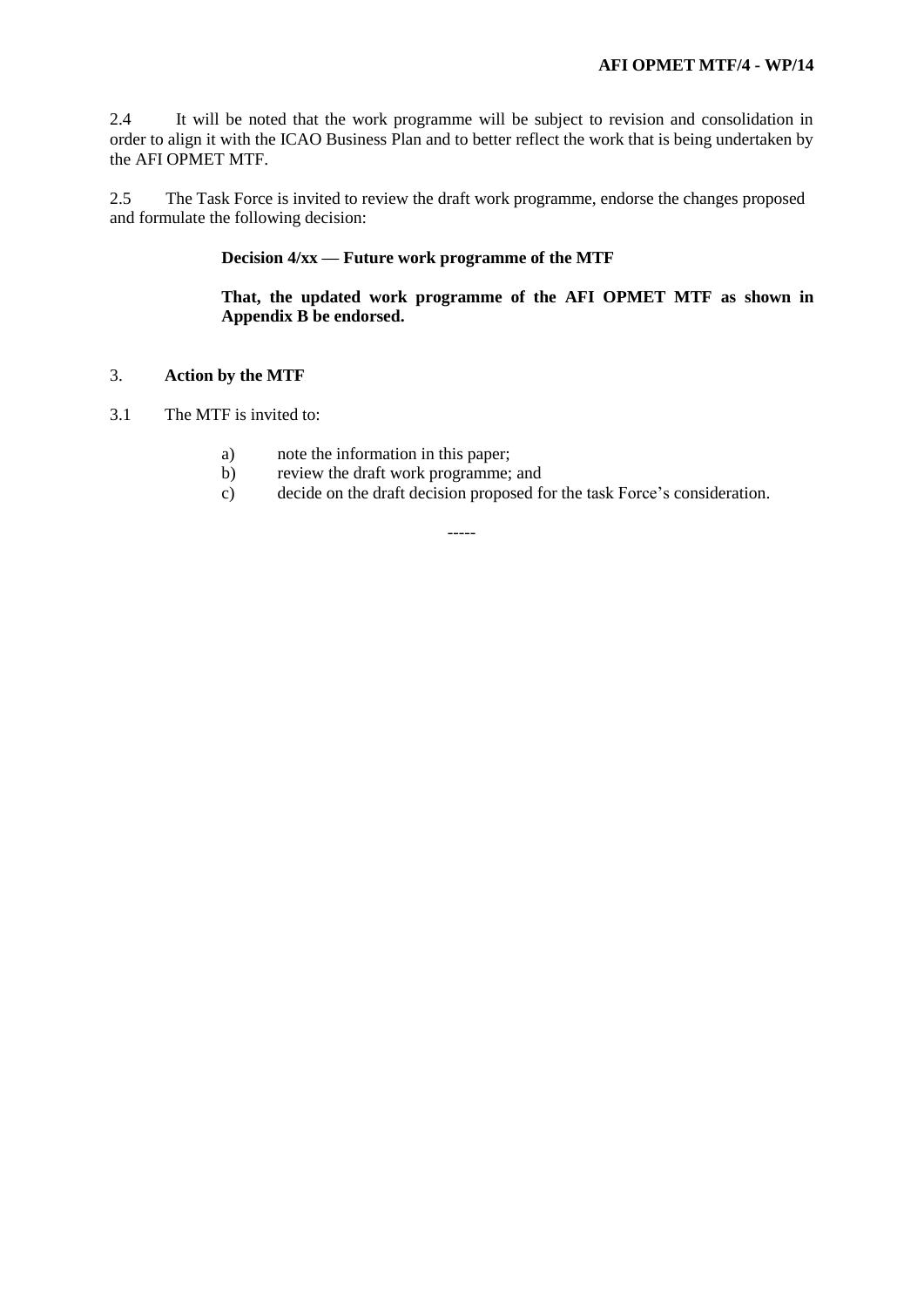2.4 It will be noted that the work programme will be subject to revision and consolidation in order to align it with the ICAO Business Plan and to better reflect the work that is being undertaken by the AFI OPMET MTF.

2.5 The Task Force is invited to review the draft work programme, endorse the changes proposed and formulate the following decision:

## **Decision 4/xx — Future work programme of the MTF**

**That, the updated work programme of the AFI OPMET MTF as shown in Appendix B be endorsed.**

### 3. **Action by the MTF**

- 3.1 The MTF is invited to:
	- a) note the information in this paper;
	- b) review the draft work programme; and
	- c) decide on the draft decision proposed for the task Force's consideration.

-----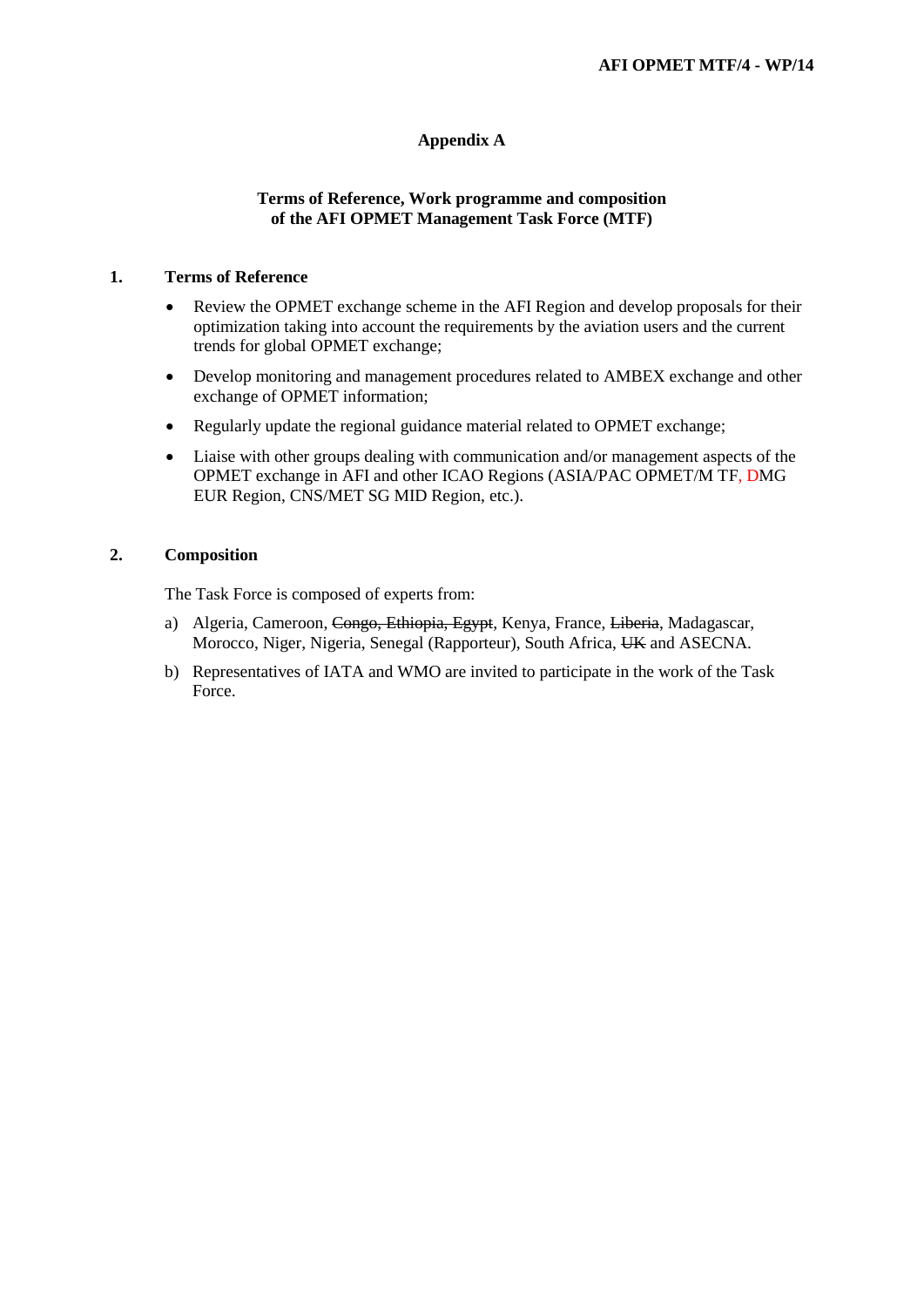## **Appendix A**

### **Terms of Reference, Work programme and composition of the AFI OPMET Management Task Force (MTF)**

#### **1. Terms of Reference**

- Review the OPMET exchange scheme in the AFI Region and develop proposals for their optimization taking into account the requirements by the aviation users and the current trends for global OPMET exchange;
- Develop monitoring and management procedures related to AMBEX exchange and other exchange of OPMET information;
- Regularly update the regional guidance material related to OPMET exchange;
- Liaise with other groups dealing with communication and/or management aspects of the OPMET exchange in AFI and other ICAO Regions (ASIA/PAC OPMET/M TF, DMG EUR Region, CNS/MET SG MID Region, etc.).

## **2. Composition**

The Task Force is composed of experts from:

- a) Algeria, Cameroon, Congo, Ethiopia, Egypt, Kenya, France, Liberia, Madagascar, Morocco, Niger, Nigeria, Senegal (Rapporteur), South Africa, UK and ASECNA.
- b) Representatives of IATA and WMO are invited to participate in the work of the Task Force.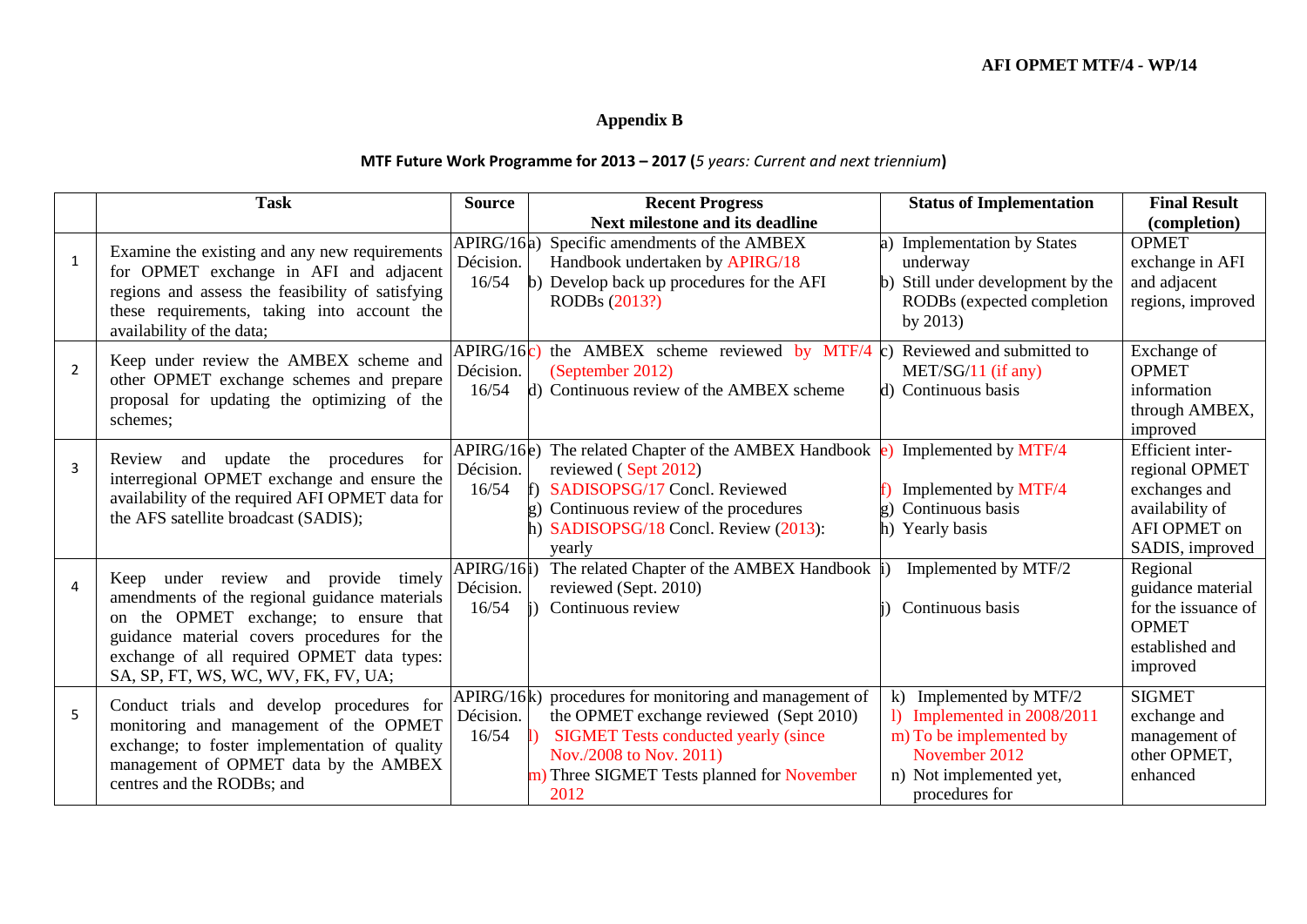# **Appendix B**

# **MTF Future Work Programme for 2013 – 2017 (***5 years: Current and next triennium***)**

|                | <b>Task</b>                                                                                                                                                                                                                                                        | <b>Source</b>                    | <b>Recent Progress</b>                                                                                                                                                                                              | <b>Status of Implementation</b>                                                                                                                   | <b>Final Result</b>                                                                                       |
|----------------|--------------------------------------------------------------------------------------------------------------------------------------------------------------------------------------------------------------------------------------------------------------------|----------------------------------|---------------------------------------------------------------------------------------------------------------------------------------------------------------------------------------------------------------------|---------------------------------------------------------------------------------------------------------------------------------------------------|-----------------------------------------------------------------------------------------------------------|
|                |                                                                                                                                                                                                                                                                    |                                  | Next milestone and its deadline                                                                                                                                                                                     |                                                                                                                                                   | (completion)                                                                                              |
| $\mathbf{1}$   | Examine the existing and any new requirements<br>for OPMET exchange in AFI and adjacent<br>regions and assess the feasibility of satisfying<br>these requirements, taking into account the<br>availability of the data;                                            | APIRG/16a)<br>Décision.<br>16/54 | Specific amendments of the AMBEX<br>Handbook undertaken by APIRG/18<br>Develop back up procedures for the AFI<br>RODBs (2013?)                                                                                      | <b>Implementation by States</b><br>underway<br>Still under development by the<br>$\mathbf{b}$<br>RODBs (expected completion<br>by $2013$ )        | <b>OPMET</b><br>exchange in AFI<br>and adjacent<br>regions, improved                                      |
| $\overline{2}$ | Keep under review the AMBEX scheme and<br>other OPMET exchange schemes and prepare<br>proposal for updating the optimizing of the<br>schemes;                                                                                                                      | APIRG/16c)<br>Décision.<br>16/54 | the AMBEX scheme reviewed by MTF/4 c)<br>(September 2012)<br>d) Continuous review of the AMBEX scheme                                                                                                               | Reviewed and submitted to<br>MET/SG/11 (if any)<br>d) Continuous basis                                                                            | Exchange of<br><b>OPMET</b><br>information<br>through AMBEX,<br>improved                                  |
| $\overline{3}$ | and update<br>the procedures for<br>Review<br>interregional OPMET exchange and ensure the<br>availability of the required AFI OPMET data for<br>the AFS satellite broadcast (SADIS);                                                                               | APIRG/16e)<br>Décision.<br>16/54 | The related Chapter of the AMBEX Handbook<br>reviewed (Sept 2012)<br>SADISOPSG/17 Concl. Reviewed<br>Continuous review of the procedures<br>SADISOPSG/18 Concl. Review (2013):<br>yearly                            | Implemented by MTF/4<br>Implemented by MTF/4<br>Continuous basis<br>h) Yearly basis                                                               | Efficient inter-<br>regional OPMET<br>exchanges and<br>availability of<br>AFI OPMET on<br>SADIS, improved |
| $\overline{4}$ | Keep under review and provide timely<br>amendments of the regional guidance materials<br>on the OPMET exchange; to ensure that<br>guidance material covers procedures for the<br>exchange of all required OPMET data types:<br>SA, SP, FT, WS, WC, WV, FK, FV, UA; | APIRG/16i)<br>Décision.<br>16/54 | The related Chapter of the AMBEX Handbook  <br>reviewed (Sept. 2010)<br>Continuous review                                                                                                                           | Implemented by MTF/2<br>Continuous basis                                                                                                          | Regional<br>guidance material<br>for the issuance of<br><b>OPMET</b><br>established and<br>improved       |
| 5              | Conduct trials and develop procedures for<br>monitoring and management of the OPMET<br>exchange; to foster implementation of quality<br>management of OPMET data by the AMBEX<br>centres and the RODBs; and                                                        | APIRG/16k)<br>Décision.<br>16/54 | procedures for monitoring and management of<br>the OPMET exchange reviewed (Sept 2010)<br><b>SIGMET Tests conducted yearly (since</b><br>Nov./2008 to Nov. 2011)<br>Three SIGMET Tests planned for November<br>2012 | k) Implemented by MTF/2<br>1) Implemented in $2008/2011$<br>m) To be implemented by<br>November 2012<br>n) Not implemented yet,<br>procedures for | <b>SIGMET</b><br>exchange and<br>management of<br>other OPMET,<br>enhanced                                |